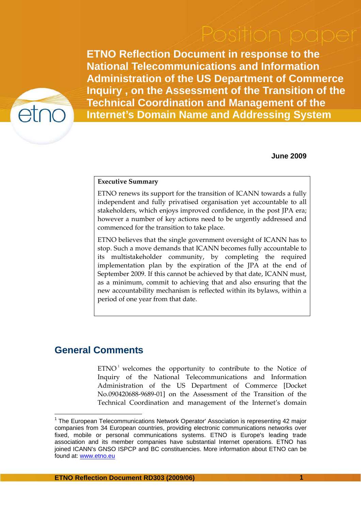**ETNO Reflection Document in response to the National Telecommunications and Information Administration of the US Department of Commerce Inquiry , on the Assessment of the Transition of the Technical Coordination and Management of the Internet's Domain Name and Addressing System** 



**June 2009** 

## **Executive Summary**

ETNO renews its support for the transition of ICANN towards a fully independent and fully privatised organisation yet accountable to all stakeholders, which enjoys improved confidence, in the post JPA era; however a number of key actions need to be urgently addressed and commenced for the transition to take place.

ETNO believes that the single government oversight of ICANN has to stop. Such a move demands that ICANN becomes fully accountable to its multistakeholder community, by completing the required implementation plan by the expiration of the JPA at the end of September 2009. If this cannot be achieved by that date, ICANN must, as a minimum, commit to achieving that and also ensuring that the new accountability mechanism is reflected within its bylaws, within a period of one year from that date.

## **General Comments**

 $\overline{a}$ 

 $ETNO<sup>-1</sup>$  welcomes the opportunity to contribute to the Notice of Inquiry of the National Telecommunications and Information Administration of the US Department of Commerce [Docket No.090420688-9689-01] on the Assessment of the Transition of the Technical Coordination and management of the Internet's domain

<sup>&</sup>lt;sup>1</sup> The European Telecommunications Network Operator' Association is representing 42 major companies from 34 European countries, providing electronic communications networks over fixed, mobile or personal communications systems. ETNO is Europe's leading trade association and its member companies have substantial Internet operations. ETNO has joined ICANN's GNSO ISPCP and BC constituencies. More information about ETNO can be found at: www.etno.eu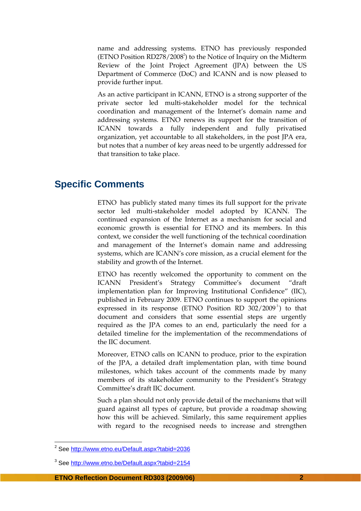name and addressing systems. ETNO has previously responded (ETNO Position RD278/2008<sup>2</sup>) to the Notice of Inquiry on the Midterm Review of the Joint Project Agreement (JPA) between the US Department of Commerce (DoC) and ICANN and is now pleased to provide further input.

As an active participant in ICANN, ETNO is a strong supporter of the private sector led multi-stakeholder model for the technical coordination and management of the Internet's domain name and addressing systems. ETNO renews its support for the transition of ICANN towards a fully independent and fully privatised organization, yet accountable to all stakeholders, in the post JPA era, but notes that a number of key areas need to be urgently addressed for that transition to take place.

## **Specific Comments**

ETNO has publicly stated many times its full support for the private sector led multi-stakeholder model adopted by ICANN. The continued expansion of the Internet as a mechanism for social and economic growth is essential for ETNO and its members. In this context, we consider the well functioning of the technical coordination and management of the Internet's domain name and addressing systems, which are ICANN's core mission, as a crucial element for the stability and growth of the Internet.

ETNO has recently welcomed the opportunity to comment on the ICANN President's Strategy Committee's document "draft implementation plan for Improving Institutional Confidence" (IIC), published in February 2009. ETNO continues to support the opinions expressed in its response (ETNO Position RD 302/2009<sup>3</sup>) to that document and considers that some essential steps are urgently required as the JPA comes to an end, particularly the need for a detailed timeline for the implementation of the recommendations of the IIC document.

Moreover, ETNO calls on ICANN to produce, prior to the expiration of the JPA, a detailed draft implementation plan, with time bound milestones, which takes account of the comments made by many members of its stakeholder community to the President's Strategy Committee's draft IIC document.

Such a plan should not only provide detail of the mechanisms that will guard against all types of capture, but provide a roadmap showing how this will be achieved. Similarly, this same requirement applies with regard to the recognised needs to increase and strengthen

 2 See http://www.etno.eu/Default.aspx?tabid=2036

<sup>&</sup>lt;sup>3</sup> See http://www.etno.be/Default.aspx?tabid=2154